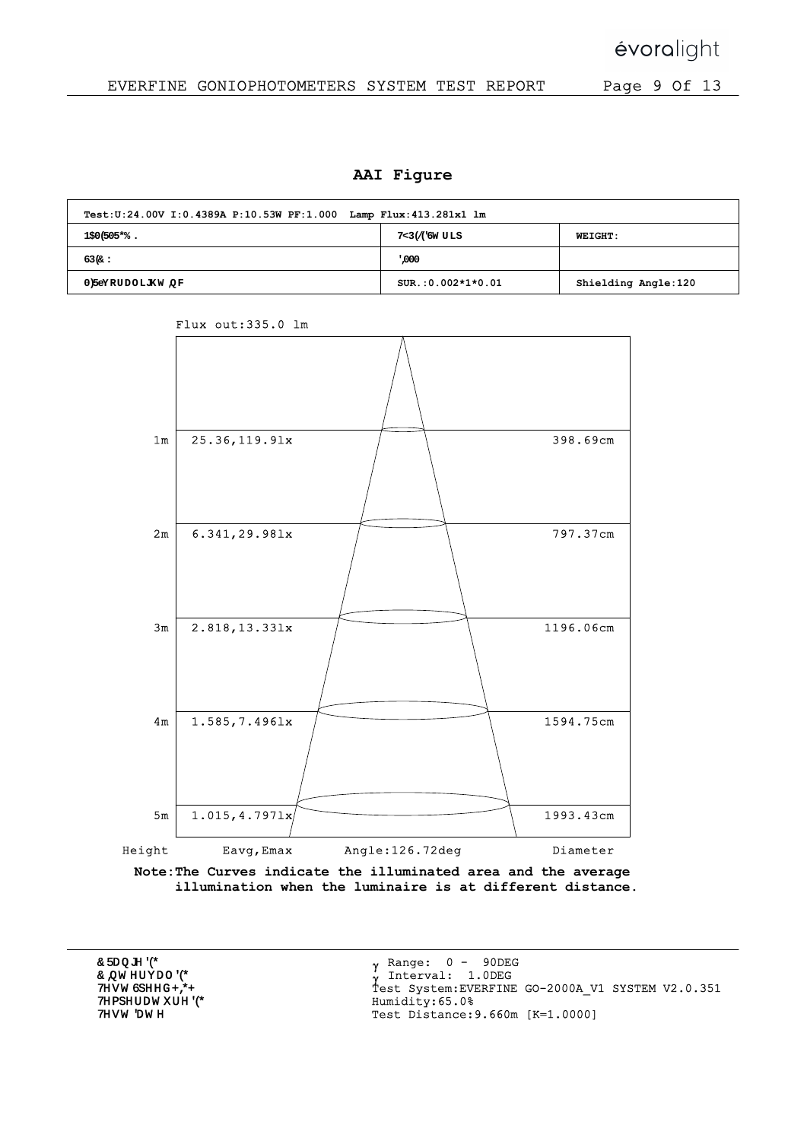## EVERFINE GONIOPHOTOMETERS SYSTEM TEST REPORT Page 9 Of 13

#### AAI Figure

| Test: U:24.00V I:0.4389A P:10.53W PF:1.000 Lamp Flux: 413.281x1 lm |                      |                     |  |  |  |  |  |  |  |
|--------------------------------------------------------------------|----------------------|---------------------|--|--|--|--|--|--|--|
| NAME: RM55-RGB2465                                                 | TYPE:LED Strip       | <b>WEIGHT:</b>      |  |  |  |  |  |  |  |
| SPEC.:18W                                                          | DIM.: 1000*10*2 (MM) | SERIAL No.: 001     |  |  |  |  |  |  |  |
| $MFR.$ :<br>voralight, Inc.                                        | $SUR.:0.002*1*0.01$  | Shielding Angle:120 |  |  |  |  |  |  |  |



Flux out:335.0 lm

Note:The Curves indicate the illuminated area and the average illumination when the luminaire is at different distance.

|  | $_{\gamma}$ Range: 0 - 90DEG<br>$\sqrt{\ }$ Interval: 1.0DEG                                            |
|--|---------------------------------------------------------------------------------------------------------|
|  | Test System: EVERFINE GO-2000A V1 SYSTEM V2.0.351<br>Humidity:65.0%<br>Test Distance: 9.660m [K=1.0000] |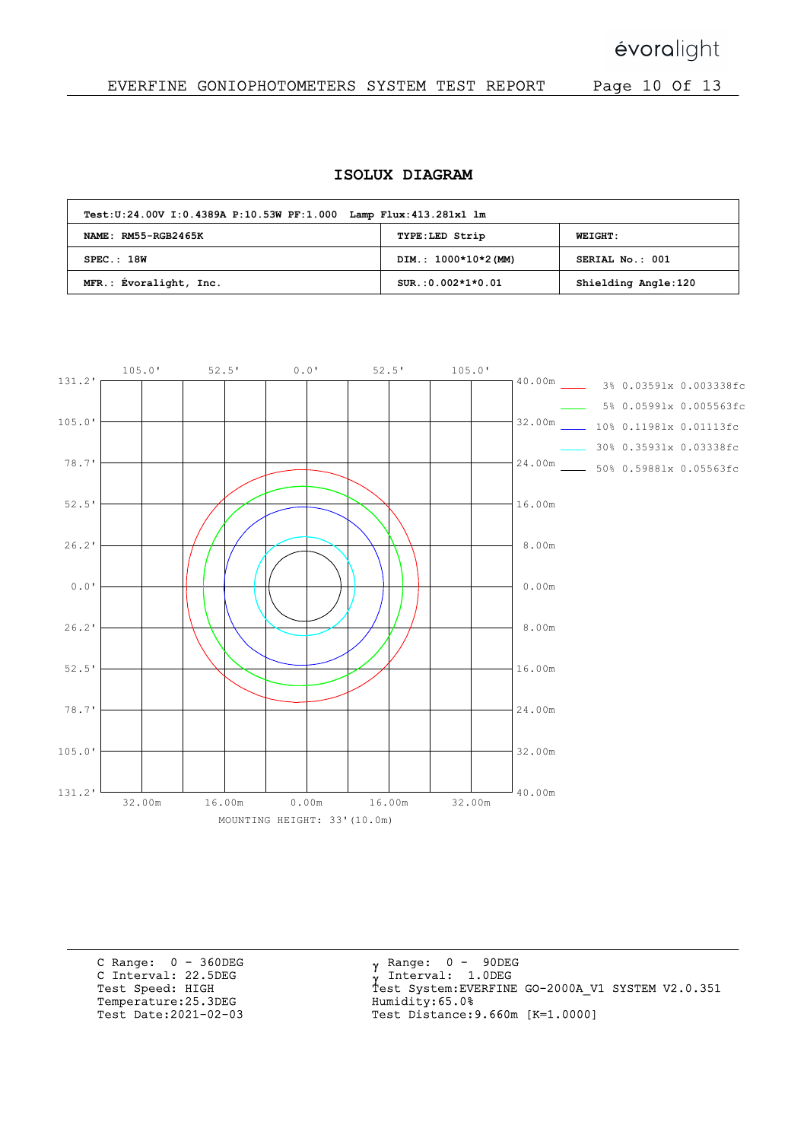évoralight

### EVERFINE GONIOPHOTOMETERS SYSTEM TEST REPORT Page 10 Of 13

#### ISOLUX DIAGRAM

| Test: U:24.00V I:0.4389A P:10.53W PF:1.000 Lamp Flux: 413.281x1 lm |                      |                     |  |  |  |  |  |  |  |
|--------------------------------------------------------------------|----------------------|---------------------|--|--|--|--|--|--|--|
| NAME: RM55-RGB2465K                                                | TYPE:LED Strip       | <b>WEIGHT:</b>      |  |  |  |  |  |  |  |
| SPEC.:18W                                                          | DIM.: 1000*10*2 (MM) | SERIAL No.: 001     |  |  |  |  |  |  |  |
| MFR.: Evoralight, Inc.                                             | $SUR.:0.002*1*0.01$  | Shielding Angle:120 |  |  |  |  |  |  |  |



C Range: 0 - 360DEG C Interval: 22.5DEG Test Speed: HIGH Temperature:25.3DEG Test Date:2021-02-03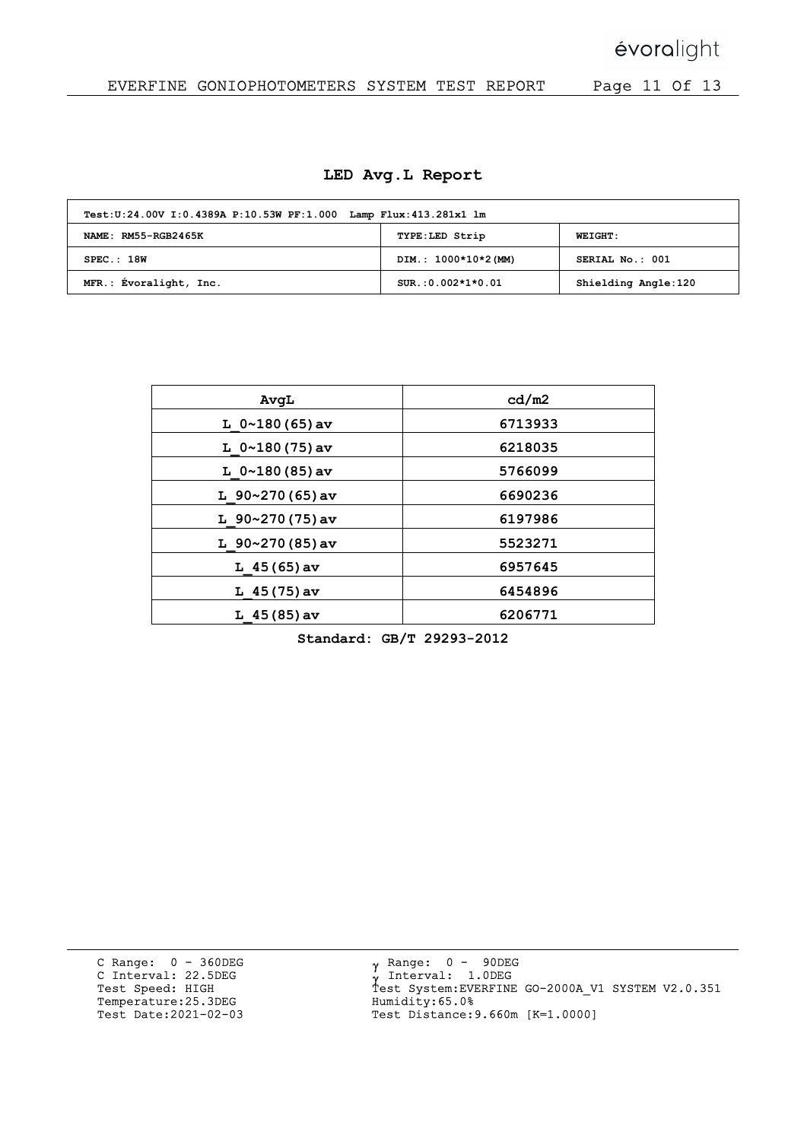# évoralight

## EVERFINE GONIOPHOTOMETERS SYSTEM TEST REPORT Page 11 Of 13

|  |  |  | LED Avg.L Report |
|--|--|--|------------------|
|--|--|--|------------------|

| Test: U:24.00V I:0.4389A P:10.53W PF:1.000 Lamp Flux: 413.281x1 lm |                      |                     |  |  |  |  |  |  |  |
|--------------------------------------------------------------------|----------------------|---------------------|--|--|--|--|--|--|--|
| NAME: RM55-RGB2465K                                                | TYPE:LED Strip       | <b>WEIGHT:</b>      |  |  |  |  |  |  |  |
| SPEC.:18W                                                          | DIM.: 1000*10*2 (MM) | SERIAL No.: 001     |  |  |  |  |  |  |  |
| MFR.: Évoralight, Inc.                                             | $SUR.:0.002*1*0.01$  | Shielding Angle:120 |  |  |  |  |  |  |  |

| AvqL                  | cd/m2   |
|-----------------------|---------|
| L $0 \sim 180(65)$ av | 6713933 |
| L $0 \sim 180(75)$ av | 6218035 |
| L $0 \sim 180(85)$ av | 5766099 |
| L $90~270(65)$ av     | 6690236 |
| L $90~270(75)$ av     | 6197986 |
| L $90~270(85)$ av     | 5523271 |
| L $45(65)$ av         | 6957645 |
| L $45(75)$ av         | 6454896 |
| $L$ 45 (85) av        | 6206771 |

Standard: GB/T 29293-2012

C Range: 0 - 360DEG C Interval: 22.5DEG Test Speed: HIGH Temperature:25.3DEG Test Date:2021-02-03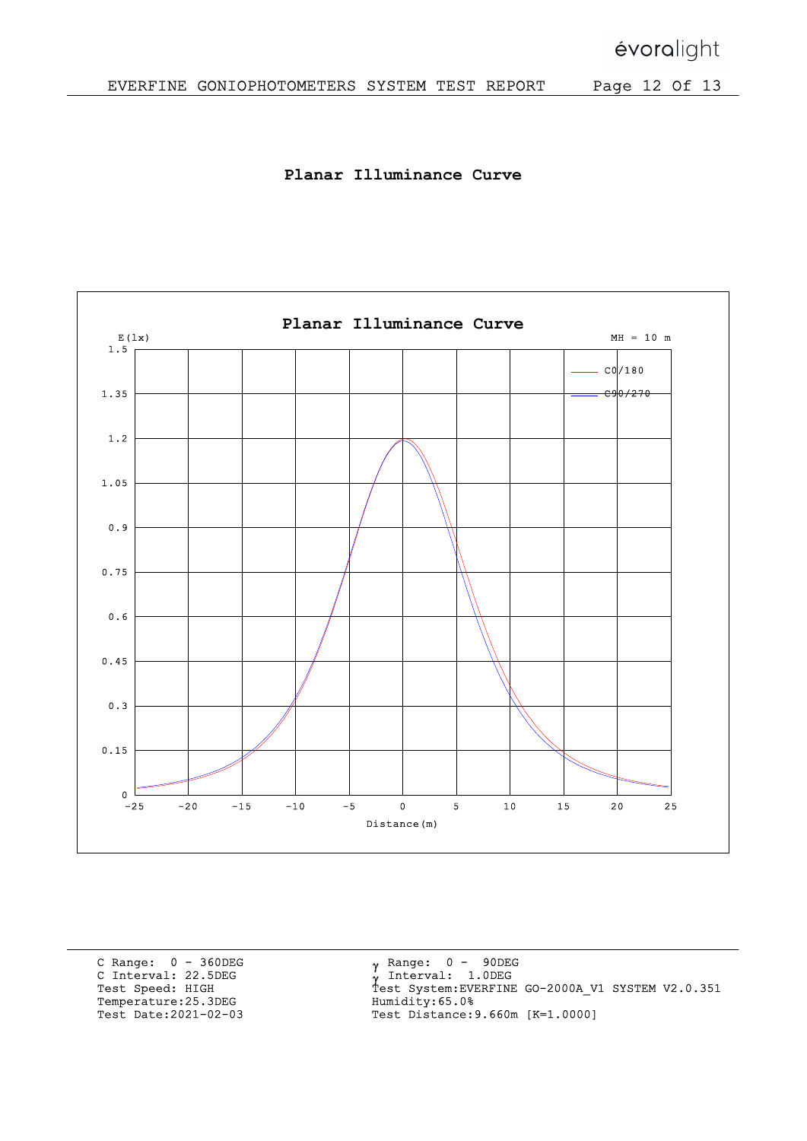Planar Illuminance Curve



C Range: 0 - 360DEG C Interval: 22.5DEG Test Speed: HIGH Temperature:25.3DEG Test Date:2021-02-03